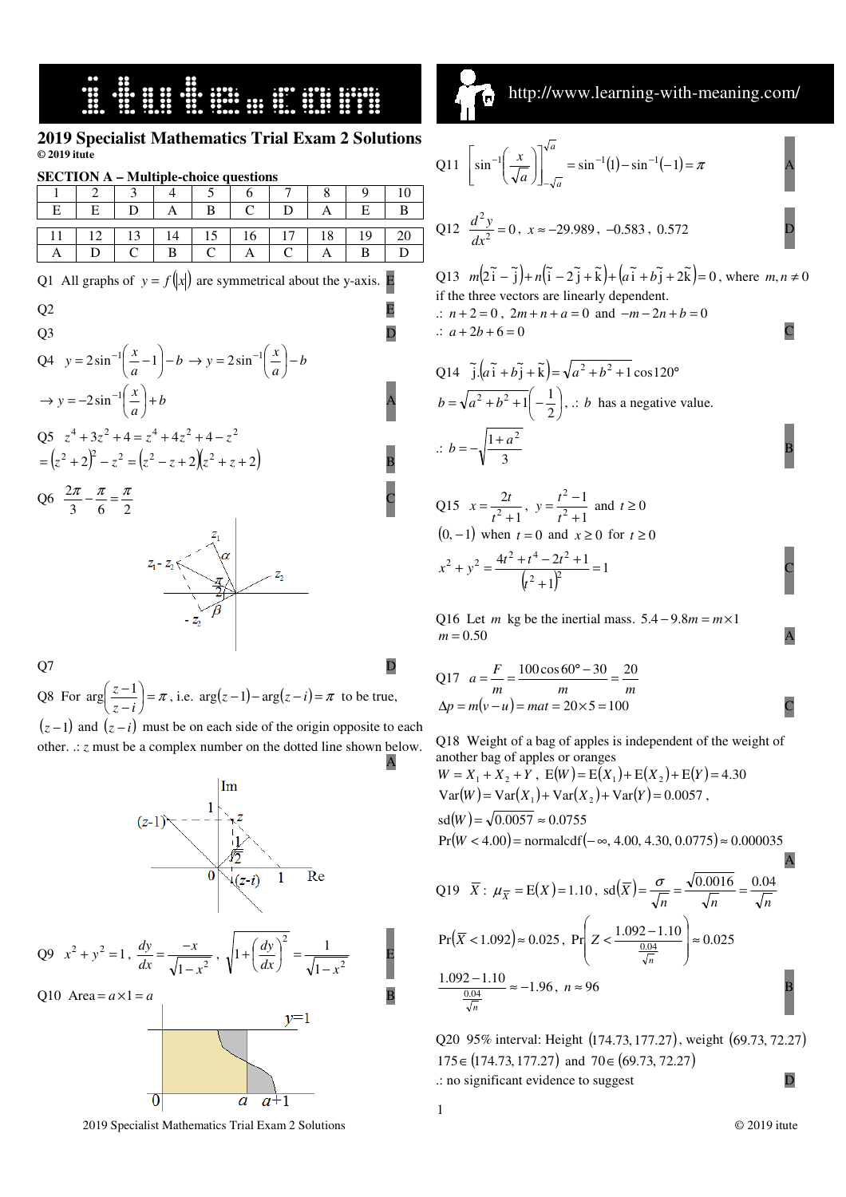## 

#### **2019 Specialist Mathematics Trial Exam 2 Solutions © 2019 itute**

| <b>SECTION A – Multiple-choice questions</b> |  |  |  |  |    |  |  |  |  |  |  |  |  |
|----------------------------------------------|--|--|--|--|----|--|--|--|--|--|--|--|--|
|                                              |  |  |  |  |    |  |  |  |  |  |  |  |  |
|                                              |  |  |  |  |    |  |  |  |  |  |  |  |  |
|                                              |  |  |  |  |    |  |  |  |  |  |  |  |  |
|                                              |  |  |  |  | ٬6 |  |  |  |  |  |  |  |  |
|                                              |  |  |  |  |    |  |  |  |  |  |  |  |  |

|  |  | Q1 All graphs of $y = f( x )$ are symmetrical about the y-axis. E |  |
|--|--|-------------------------------------------------------------------|--|
|  |  |                                                                   |  |



Q7 D

Q8 For  $\arg\left(\frac{z-1}{z-i}\right) = \pi$  $\left(\frac{z-1}{z}\right)$ l ſ − − *z i*  $\arg\left(\frac{z-1}{z}\right) = \pi$ , i.e.  $\arg(z-1) - \arg(z-i) = \pi$  to be true,

 $(z-1)$  and  $(z-i)$  must be on each side of the origin opposite to each other. .: *z* must be a complex number on the dotted line shown below.



http://www.learning-with-meaning.com/  $\lceil \mathbf{r} \rceil$ 

Q11 
$$
\left[\sin^{-1}\left(\frac{x}{\sqrt{a}}\right)\right]_{-\sqrt{a}}^{\sqrt{a}} = \sin^{-1}(1) - \sin^{-1}(-1) = \pi
$$
  
\nQ12  $\frac{d^2y}{dx^2} = 0$ ,  $x \approx -29.989$ ,  $-0.583$ , 0.572  
\nQ13  $m(2\tilde{i} - \tilde{j}) + n(\tilde{i} - 2\tilde{j} + \tilde{k}) + (a\tilde{i} + b\tilde{j} + 2\tilde{k}) = 0$ , where  $m, n \neq 0$   
\nif the three vectors are linearly dependent.  
\n $\therefore n + 2 = 0$ ,  $2m + n + a = 0$  and  $-m - 2n + b = 0$ 

$$
\therefore a + 2b + 6 = 0
$$

Q14 
$$
\tilde{j} \cdot (a\tilde{i} + b\tilde{j} + \tilde{k}) = \sqrt{a^2 + b^2 + 1} \cos 120^\circ
$$
  
\n
$$
b = \sqrt{a^2 + b^2 + 1} \left(-\frac{1}{2}\right), \therefore b \text{ has a negative value.}
$$
\n
$$
\therefore b = -\sqrt{\frac{1 + a^2}{3}}
$$

Q15 1 2  $^{2}$  + = *t*  $x = \frac{2t}{2}$ , 1 1 2 2 +  $=\frac{t^2-}{2}$ *t*  $y = \frac{t^2 - 1}{2}$  and  $t \ge 0$  $(0, -1)$  when  $t = 0$  and  $x \ge 0$  for  $t \ge 0$  $\frac{(t^2-2t+1)}{(t^2+1)^2} = 1$  $4t^2 + t^4 - 2t^2 + 1$ 2  $^{2}$  $x^2 + y^2 = \frac{4t^2 + t^4 - 2t^2 + 1}{(x - y^2)}$ +  $+ y^2 = \frac{4t^2 + t^4 - 2t^2 + t^4 - 2t^2}{(t^2 + t^4 + t^2)}$ *t*  $x^2 + y^2 = \frac{4t^2 + t^4 - 2t^2 + 1}{t^2} = 1$ 

Q16 Let *m* kg be the inertial mass.  $5.4 - 9.8m = m \times 1$  $m = 0.50$ 

Q17 
$$
a = \frac{F}{m} = \frac{100 \cos 60^{\circ} - 30}{m} = \frac{20}{m}
$$
  
\n $\Delta p = m(v - u) = mat = 20 \times 5 = 100$ 

Q18 Weight of a bag of apples is independent of the weight of another bag of apples or oranges

$$
W = X_1 + X_2 + Y, \quad E(W) = E(X_1) + E(X_2) + E(Y) = 4.30
$$
  
Var(W) = Var(X\_1) + Var(X\_2) + Var(Y) = 0.0057,  
sd(W) =  $\sqrt{0.0057} \approx 0.0755$   
Pr(W < 4.00) = normalizedf(- $\infty$ , 4.00, 4.30, 0.0775)  $\approx 0.000035$ 

Q19 
$$
\overline{X}
$$
:  $\mu_{\overline{X}} = E(X) = 1.10$ , sd( $\overline{X}$ ) =  $\frac{\sigma}{\sqrt{n}} = \frac{\sqrt{0.0016}}{\sqrt{n}} = \frac{0.04}{\sqrt{n}}$   
Pr( $\overline{X}$  < 1.092)  $\approx$  0.025, Pr $\left(Z < \frac{1.092 - 1.10}{\frac{0.04}{\sqrt{n}}}\right) \approx 0.025$   
 $\frac{1.092 - 1.10}{\frac{0.04}{\sqrt{n}}} \approx -1.96$ ,  $n \approx 96$ 

Q20 95% interval: Height (174.73, 177.27), weight (69.73, 72.27)  $175 \in (174.73, 177.27)$  and  $70 \in (69.73, 72.27)$ .  $\therefore$  no significant evidence to suggest  $D$ 

2019 Specialist Mathematics Trial Exam 2 Solutions © 2019 itute

A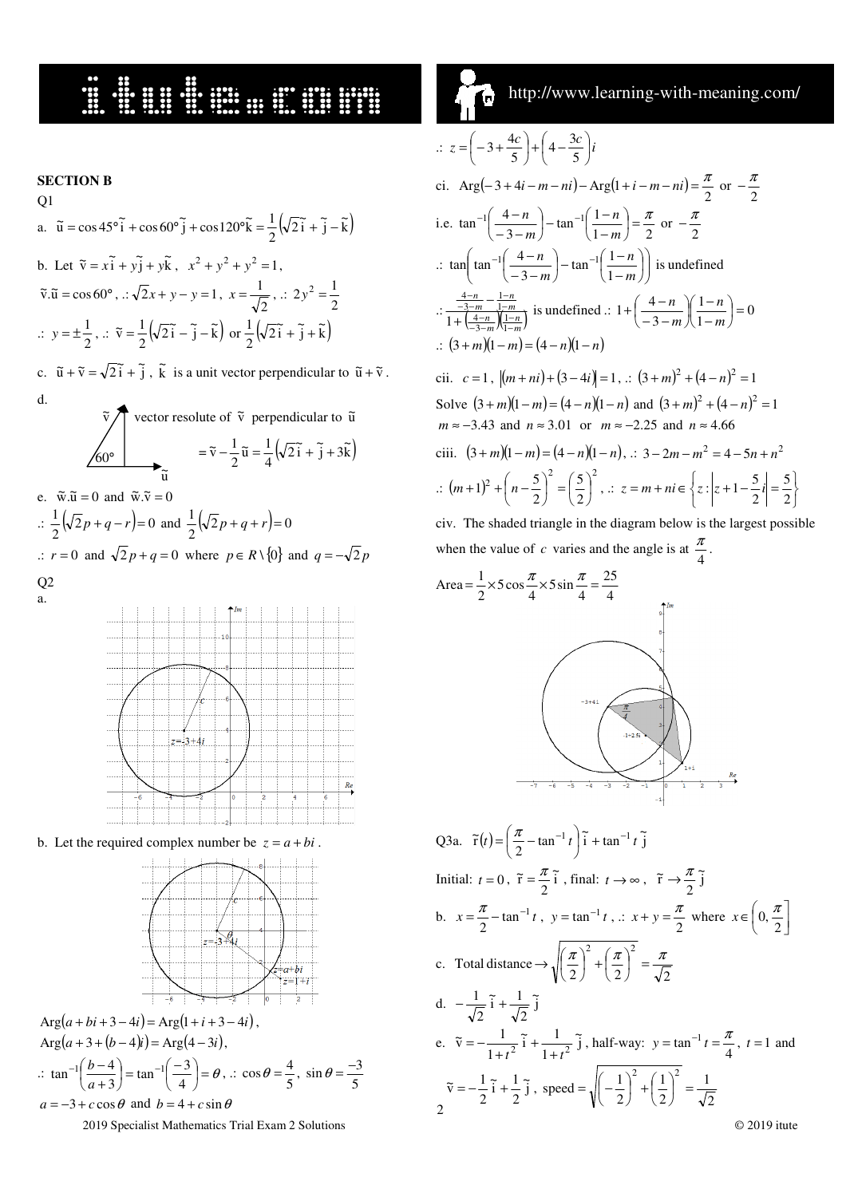### **HERRICH BELLEVILLE SERVICE**

#### **SECTION B**   $Q<sub>1</sub>$ a.  $\tilde{u} = \cos 45^\circ \tilde{i} + \cos 60^\circ \tilde{j} + \cos 120^\circ \tilde{k} = \frac{1}{2} (\sqrt{2} \tilde{i} + \tilde{j} - \tilde{k})$  $\tilde{u} = \cos 45^\circ \tilde{i} + \cos 60^\circ \tilde{j} + \cos 120^\circ \tilde{k} = \frac{1}{2} (\sqrt{2} \tilde{i} + \tilde{j}$ b. Let  $\tilde{v} = x_1 \tilde{i} + y_2 \tilde{j} + y_3 \tilde{k}$ ,  $x^2 + y^2 + y^2 = 1$ ,  $\tilde{v} \cdot \tilde{u} = \cos 60^\circ, \therefore \sqrt{2}x + y - y = 1$ , 2  $x = \frac{1}{\sqrt{2}}$ , .:  $2y^2 = \frac{1}{2}$  $2y^2 = \frac{1}{2}$  $\therefore$   $y = \pm \frac{1}{2}$  $y = \pm \frac{1}{2}, \therefore \ \tilde{v} = \frac{1}{2} \left( \sqrt{2} \tilde{i} - \tilde{j} - \tilde{k} \right) \text{ or } \frac{1}{2} \left( \sqrt{2} \tilde{i} + \tilde{j} + \tilde{k} \right)$  $\frac{1}{2}(\sqrt{2}\tilde{i} - \tilde{j} - \tilde{k})$  or  $\frac{1}{2}$  $\tilde{v} = \frac{1}{2} \left( \sqrt{2} \tilde{i} - \tilde{j} - \tilde{k} \right)$  or  $\frac{1}{2} \left( \sqrt{2} \tilde{i} + \tilde{j} + \tilde{k} \right)$

c.  $\tilde{u} + \tilde{v} = \sqrt{2} \tilde{i} + \tilde{j}$ ,  $\tilde{k}$  is a unit vector perpendicular to  $\tilde{u} + \tilde{v}$ . d.



e.  $\tilde{w} \cdot \tilde{u} = 0$  and  $\tilde{w} \cdot \tilde{v} = 0$  $\therefore \frac{1}{2} (\sqrt{2} p + q - r) = 0$  $\frac{1}{2}(\sqrt{2}p+q-r)=0$  and  $\frac{1}{2}(\sqrt{2}p+q+r)=0$  $\frac{1}{2}(\sqrt{2}p+q+r)$ = .: *r* = 0 and  $\sqrt{2} p + q = 0$  where  $p \in R \setminus \{0\}$  and  $q = -\sqrt{2} p$ Q2 a.



b. Let the required complex number be  $z = a + bi$ .



$$
\begin{aligned} \n\text{Arg}(a + bi + 3 - 4i) &= \text{Arg}(1 + i + 3 - 4i), \\ \n\text{Arg}(a + 3 + (b - 4)i) &= \text{Arg}(4 - 3i), \\ \n\therefore \quad \tan^{-1}\left(\frac{b - 4}{a + 3}\right) &= \tan^{-1}\left(\frac{-3}{4}\right) = \theta, \\ \n\therefore \quad \cos\theta = \frac{4}{5}, \quad \sin\theta = \frac{-3}{5} \\ \na &= -3 + c \cos\theta \quad \text{and} \quad b = 4 + c \sin\theta \n\end{aligned}
$$

2019 Specialist Mathematics Trial Exam 2 Solutions © 2019 itute

http://www.learning-with-meaning.com/ ĺв,

$$
z = \left(-3 + \frac{4c}{5}\right) + \left(4 - \frac{3c}{5}\right)i
$$
  
\nci. Arg $\left(-3 + 4i - m - ni\right) - \text{Arg}(1 + i - m - ni) = \frac{\pi}{2} \text{ or } -\frac{\pi}{2}$   
\ni.e.  $\tan^{-1}\left(\frac{4-n}{-3-m}\right) - \tan^{-1}\left(\frac{1-n}{1-m}\right) = \frac{\pi}{2} \text{ or } -\frac{\pi}{2}$   
\n
$$
\therefore \tan\left(\tan^{-1}\left(\frac{4-n}{-3-m}\right) - \tan^{-1}\left(\frac{1-n}{1-m}\right)\right) \text{ is undefined}
$$
  
\n
$$
\therefore \frac{\frac{4-n}{-3-m} \frac{1-n}{1-m}}{1 + \left(\frac{4-n}{-3-m}\right) \left(\frac{1-n}{1-m}\right)} \text{ is undefined}
$$
  
\n
$$
\therefore \frac{\frac{4-n}{-3-m} \frac{1-n}{1-m}}{1 + \left(\frac{4-n}{-3-m}\right) \left(\frac{1-n}{1-m}\right)} = 0
$$
  
\n
$$
\therefore (3 + m)(1 - m) = (4 - n)(1 - n)
$$
  
\ncii.  $c = 1$ ,  $|(m + ni) + (3 - 4i)| = 1$ ,  $\therefore (3 + m)^2 + (4 - n)^2 = 1$   
\nSolve  $(3 + m)(1 - m) = (4 - n)(1 - n)$  and  $(3 + m)^2 + (4 - n)^2 = 1$   
\n $m \approx -3.43$  and  $n \approx 3.01$  or  $m \approx -2.25$  and  $n \approx 4.66$   
\nciii.  $(3 + m)(1 - m) = (4 - n)(1 - n)$ ,  $\therefore 3 - 2m - m^2 = 4 - 5n + n^2$   
\n
$$
\therefore (m + 1)^2 + \left(n - \frac{5}{2}\right)^2 = \left(\frac{5}{2}\right)^2
$$
,  $\therefore z = m + ni \in \left\{z : |z + 1 - \frac{5}{2}i| = \frac{5}{2}\right\}$   
\nciv. The shaded triangle in the diagram below is the largest possible

haded triangle in the diagram below is the larg when the value of *c* varies and the angle is at  $\frac{\pi}{4}$  $\frac{\pi}{\cdot}$ .



Q3a. 
$$
\tilde{r}(t) = \left(\frac{\pi}{2} - \tan^{-1}t\right)\tilde{i} + \tan^{-1}t\tilde{j}
$$
  
\nInitial:  $t = 0$ ,  $\tilde{r} = \frac{\pi}{2}\tilde{i}$ , final:  $t \to \infty$ ,  $\tilde{r} \to \frac{\pi}{2}\tilde{j}$   
\nb.  $x = \frac{\pi}{2} - \tan^{-1}t$ ,  $y = \tan^{-1}t$ ,  $\therefore x + y = \frac{\pi}{2}$  where  $x \in \left(0, \frac{\pi}{2}\right)$   
\nc. Total distance  $\to \sqrt{\left(\frac{\pi}{2}\right)^2 + \left(\frac{\pi}{2}\right)^2} = \frac{\pi}{\sqrt{2}}$   
\nd.  $-\frac{1}{\sqrt{2}}\tilde{i} + \frac{1}{\sqrt{2}}\tilde{j}$   
\ne.  $\tilde{v} = -\frac{1}{1+t^2}\tilde{i} + \frac{1}{1+t^2}\tilde{j}$ , half-way:  $y = \tan^{-1}t = \frac{\pi}{4}$ ,  $t = 1$  and  
\n $\tilde{v} = -\frac{1}{2}\tilde{i} + \frac{1}{2}\tilde{j}$ , speed  $= \sqrt{\left(-\frac{1}{2}\right)^2 + \left(\frac{1}{2}\right)^2} = \frac{1}{\sqrt{2}}$